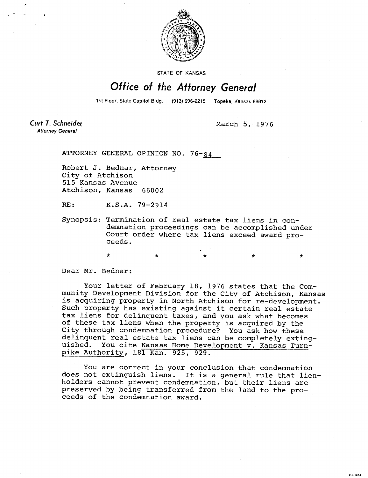

STATE OF KANSAS

## Office of the Attorney General

1st Floor, State Capitol Bldg. (913) 296-2215 Topeka, Kansas 66612

 $\star$   $\star$   $\star$   $\star$   $\star$ 

MI-1043

Curt T. Schneider **Attorney General** 

March 5, 1976

ATTORNEY GENERAL OPINION NO. 76-84

Robert J. Bednar, Attorney City of Atchison 515 Kansas Avenue Atchison, Kansas 66002

RE: K.S.A. 79-2914

Synopsis: Termination of real estate tax liens in condemnation proceedings can be accomplished under Court order where tax liens exceed award proceeds.

Dear Mr. Bednar:

Your letter of February 18, 1976 states that the Community Development Division for the City of Atchison, Kansas is acquiring property in North Atchison for re-development. Such property has existing against it certain real estate tax liens for delinquent taxes, and you ask what becomes of these tax liens when the property is acquired by the City through condemnation procedure? You ask how these delinquent real estate tax liens can be completely exting-<br>uished. You cite Kansas Home Development v. Kansas Turn-You cite Kansas Home Development v. Kansas Turnpike Authority,181 Kan. 925, 929.

You are correct in your conclusion that condemnation does not extinguish liens. It is a general rule that lienholders cannot prevent condemnation, but their liens are preserved by being transferred from the land to the proceeds of the condemnation award.